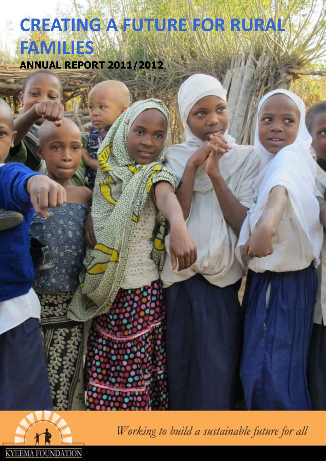# **CREATING A FUTURE FOR RURAL FAMILIES ANNUAL REPORT 2011/2012**



Working to build a sustainable future for all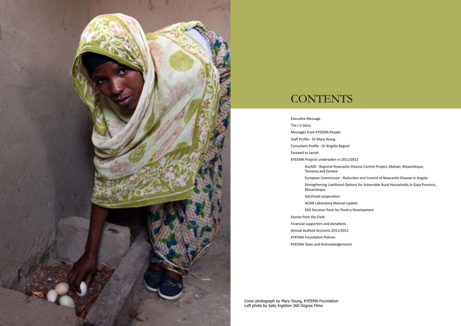

## **CONTENTS**

AusAID - Regional Newcastle Disease Control Project, Malawi, Mozambique,

Executive Message The I-2 Story Messages from KYEEMA People Staff Profile - Dr Mary Young Consultant Profile - Dr Brigitte Bagnol Farewell to Jarrah KYEEMA Projects undertaken in 2011/2012 Tanzania and Zambia Mozambique GALVmed cooperation ACIAR Laboratory Manual Update FAO Decision Tools for Poultry Development Stories from the Field Financial supporters and donations Annual Audited Accounts 2011/2012 KYEEMA Foundation Policies

European Commission - Reduction and Control of Newcastle Disease in Angola Strengthening Livelihood Options for Vulnerable Rural Households in Gaza Province,

KYEEMA Team and Acknowledgements

Cover photograph by Mary Young, KYEEMA Foundation Left photo by Sally Ingleton 360 Degree Films

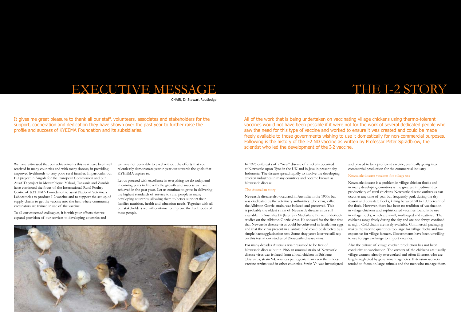## THE I-2 STORY

All of the work that is being undertaken on vaccinating village chickens using thermo-tolerant vaccines would not have been possible if it were not for the work of several dedicated people who saw the need for this type of vaccine and worked to ensure it was created and could be made freely available to those governments wishing to use it domestically for non-commercial purposes. Following is the history of the I-2 ND vaccine as written by Professor Peter Spradbrow, the scientist who led the development of the I-2 vaccine.

In 1926 outbreaks of a "new" disease of chickens occurred at Newcastle-upon-Tyne in the UK and in Java in present-day Indonesia. The disease spread rapidly to involve the developing chicken industries in many countries and became known as Newcastle disease.

The Australian story Newcastle disease also occurred in Australia in the 1930s but was eradicated by the veterinary authorities. The virus, called the Albiston Gorrie strain, was isolated and preserved. This is probably the oldest strain of Newcastle disease virus still available. In Australia Dr (later Sir) Macfarlane Burnet undertook studies on the Albiston Gorrie virus. He showed for the first time that Newcastle disease virus could be cultivated in fertile hen eggs and that the virus present in allantoic fluid could be detected by a simple haemagglutination test. Some sixty years later we still rely on this test in our studies of Newcastle disease virus. Newcastle disease is a problem in village chicken flocks and in many developing countries is the greatest impediment to productivity of rural chickens. Newcastle disease outbreaks can occur at any time of year but frequently peak during the dry season and devastate flocks, killing between 50 to 100 percent of the flock. However, there has been no tradition of vaccination in village chickens and sophisticated vaccines found little use in village flocks, which are small, multi-aged and scattered. The chickens range freely during the day and are not always confined at night. Cold chains are rarely available. Commercial packaging makes the vaccine quantities too large for village flocks and too expensive for village farmers. Governments have been unwilling to use foreign exchange to import vaccines.

and proved to be a proficient vaccine, eventually going into commercial production for the commercial industry.

#### Newcastle disease vaccines for village use

For many decades Australia was presumed to be free of Newcastle disease but in 1966 an unusual strain of Newcastle disease virus was isolated from a local chicken in Brisbane. This virus, strain V4, was less pathogenic than even the mildest vaccine strains used in other countries. Strain V4 was investigated Also the culture of village chicken production has not been conducive to vaccination. The owners of the chickens are usually village women, already overworked and often illiterate, who are largely neglected by government agencies. Extension workers tended to focus on large animals and the men who manage them.

## EXECUTIVE MESSAGE

CHAIR, Dr Stewart Routledge

It gives me great pleasure to thank all our staff, volunteers, associates and stakeholders for the support, cooperation and dedication they have shown over the past year to further raise the profile and success of KYEEMA Foundation and its subsidiaries.

We have witnessed that our achievements this year have been well received in many countries and with many donors, in providing improved livelihoods to very poor rural families. In particular our EU project in Angola for the European Commission and our AusAID project in Mozambique, Malawi, Tanzania and Zambia have continued the focus of the International Rural Poultry Centre of KYEEMA Foundation to assist National Veterinary Laboratories to produce I-2 vaccine and to support the set-up of supply chains to get the vaccine into the field where community vaccinators are trained in use of the vaccine.

To all our esteemed colleagues, it is with your efforts that we expand provision of our services to developing countries and we have not been able to excel without the efforts that you relentlessly demonstrate year in year out towards the goals that KYEEMA aspires to.

Let us proceed with excellence in everything we do today, and in coming years in line with the growth and success we have achieved in the past years. Let us continue to grow in delivering the highest standards of service to rural people in many developing countries, allowing them to better support their families nutrition, health and education needs. Together with all our stakeholders we will continue to improve the livelihoods of these people.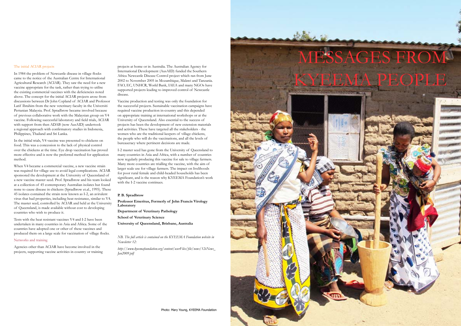#### The initial ACIAR projects

In 1984 the problem of Newcastle disease in village flocks came to the notice of the Australian Centre for International Agricultural Research (ACIAR). They saw the need for a new vaccine appropriate for the task, rather than trying to utilise the existing commercial vaccines with the deficiencies noted above. The concept for the initial ACIAR projects arose from discussions between Dr John Copland of ACIAR and Professor Latif Ibrahim from the new veterinary faculty in the Universiti Pertanian Malaysia. Prof. Spradbrow became involved because of previous collaborative work with the Malaysian group on V4 vaccine. Following successful laboratory and field trials, ACIAR with support from then ADAB (now AusAID) undertook a regional approach with confirmatory studies in Indonesia, Philippines, Thailand and Sri Lanka.

In the initial trials, V4 vaccine was presented to chickens on food. This was a concession to the lack of physical control over the chickens at the time. Eye drop vaccination has proved more effective and is now the preferred method for application method.

When V4 became a commercial vaccine, a new vaccine strain was required for village use to avoid legal complications. ACIAR sponsored the development at the University of Queensland of a new vaccine master seed. Prof. Spradbrow and his team looked at a collection of 45 contemporary Australian isolates but found none to cause disease in chickens (Spradbrow et.al., 1995). These 45 isolates contained the strain now known as I-2, an avirulent virus that had properties, including heat resistance, similar to V4. The master seed, controlled by ACIAR and held at the University of Queensland, is made available without cost to developing countries who wish to produce it.

Tests with the heat resistant vaccines V4 and I-2 have been undertaken in many countries in Asia and Africa. Some of the countries have adopted one or other of these vaccines and produced them on a large scale for vaccination of village flocks.

#### Networks and training

Agencies other than ACIAR have become involved in the projects, supporting vaccine activities in country or training

projects at home or in Australia. The Australian Agency for International Development (AusAID) funded the Southern Africa Newcastle Disease Control project which ran from June 2002 to November 2005 in Mozambique, Malawi and Tanzania. FAO, EC, UNHCR, World Bank, IAEA and many NGOs have supported projects leading to improved control of Newcastle disease.

Vaccine production and testing was only the foundation for the successful projects. Sustainable vaccination campaigns have required vaccine production in-country and this depended on appropriate training at international workshops or at the University of Queensland. Also essential to the success of projects has been the development of new extension materials and activities. These have targeted all the stakeholders - the women who are the traditional keepers of village chickens, the people who will do the vaccinations, and all the levels of bureaucracy where pertinent decisions are made.

I-2 master seed has gone from the University of Queensland to many countries in Asia and Africa, with a number of countries now regularly producing this vaccine for sale to village farmers. Many more countries are trialling the vaccine, with the aim of larger scale use for village farmers. The impact on livelihoods for poor rural female and child-headed households has been significant, and is the reason why KYEEMA Foundation's work with the I-2 vaccine continues.

#### **P. B. Spradbrow**

**Professor Emeritus, Formerly of John Francis Virology Laboratory**

**Department of Veterinary Pathology**

**School of Veterinary Science**

**University of Queensland, Brisbane, Australia**

*NB. The full article is contained on the KYEEMA Foundation website in Newsletter 12:* 

*http://www.kyeemafoundation.org/content/userFiles/file/news/12eNews\_ Jan2009.pdf*

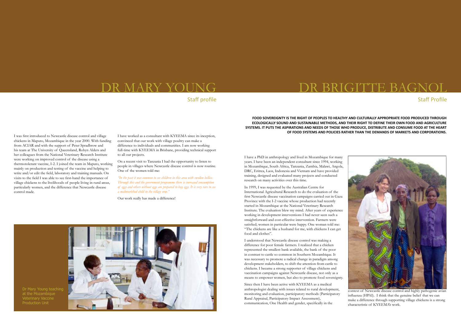I have a PhD in anthropology and lived in Mozambique for many years. I have been an independent consultant since 1994, working in Mozambique, South Africa, Tanzania, Zambia, Malawi, Angola, DRC, Eritrea, Laos, Indonesia and Vietnam and have provided training, designed and evaluated many projects and conducted research on many activities over this time.

In 1999, I was requested by the Australian Centre for International Agricultural Research to do the evaluation of the first Newcastle disease vaccination campaigns carried out in Gaza Province with the I-2 vaccine whose production had recently started in Mozambique at the National Veterinary Research Institute. The evaluation blew my mind. After years of experience working in development interventions I had never seen such a straightforward and cost-effective intervention. Farmers were satisfied; women in particular were happy. One woman told me: "The chickens are like a husband for me, with chickens I can get food and clothes".

I understood that Newcastle disease control was making a difference for poor female farmers. I realized that a chicken represented the smallest bank available, the bank of the poor in contrast to cattle so common in Southern Mozambique. It was necessary to promote a radical change in paradigm among development stakeholders, to shift the attention from cattle to chickens. I became a strong supporter of village chickens and vaccination campaigns against Newcastle disease, not only as a means to empower women, but also to promote food sovereignty.

Since then I have been active with KYEEMA as a medical anthropologist dealing with issues related to rural development, monitoring and evaluation, participatory methods (Participatory Rural Appraisal, Participatory Impact Assessment), communication, One Health and gender, specifically in the



context of Newcastle disease control and highly pathogenic avian influenza (HPAI). I think that the genuine belief that we can make a difference through supporting village chickens is a strong characteristic of KYEEMA's work.

### **FOOD SOVEREIGNTY IS THE RIGHT OF PEOPLES TO HEALTHY AND CULTURALLY APPROPRIATE FOOD PRODUCED THROUGH ECOLOGICALLY SOUND AND SUSTAINABLE METHODS, AND THEIR RIGHT TO DEFINE THEIR OWN FOOD AND AGRICULTURE OF FOOD SYSTEMS AND POLICIES RATHER THAN THE DEMANDS OF MARKETS AND CORPORATIONS.**

**SYSTEMS. IT PUTS THE ASPIRATIONS AND NEEDS OF THOSE WHO PRODUCE, DISTRIBUTE AND CONSUME FOOD AT THE HEART** 

### DR MARY YOUNG

### Staff profile

I was first introduced to Newcastle disease control and village chickens in Maputo, Mozambique in the year 2000. With funding from ACIAR and with the support of Peter Spradbrow and his team at The University of Queensland, Robyn Alders and her colleagues from the National Veterinary Research Institute were working on improved control of the disease using a thermotolerant vaccine, I-2. I joined the team in Maputo, working mainly on production and testing of the vaccine and helping to write and/or edit the field, laboratory and training manuals. On visits to the field I was able to see first-hand the importance of village chickens to the livelihoods of people living in rural areas, particularly women, and the difference that Newcastle disease control made.

I have worked as a consultant with KYEEMA since its inception, convinced that our work with village poultry can make a difference to individuals and communities. I am now working full-time with KYEEMA in Brisbane, providing technical support to all our projects.

On a recent visit to Tanzania I had the opportunity to listen to people in villages where Newcastle disease control is now routine. One of the women told me:

*"In the past it was common to see children in this area with swollen bellies. Through this and the government programme there is increased consumption of eggs and others without eggs are prepared to buy eggs. It is very rare to see a malnourished child in the village now."* 

Our work really has made a difference!





Staff Profile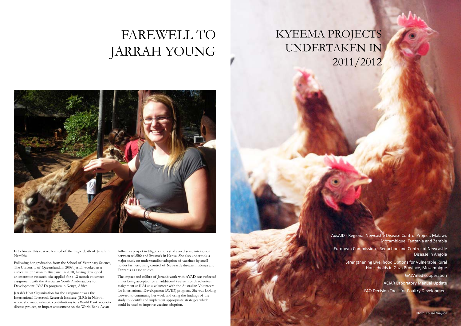# FAREWELL TO JARRAH YOUNG



In February this year we learned of the tragic death of Jarrah in Namibia.

Following her graduation from the School of Veterinary Science, The University of Queensland, in 2008, Jarrah worked as a clinical veterinarian in Brisbane. In 2010, having developed an interest in research, she applied for a 12 month volunteer assignment with the Australian Youth Ambassadors for Development (AYAD) program in Kenya, Africa.

Jarrah's Host Organisation for the assignment was the International Livestock Research Institute (ILRI) in Nairobi where she made valuable contributions to a World Bank zoonotic disease project, an impact assessment on the World Bank Avian

Influenza project in Nigeria and a study on disease interaction between wildlife and livestock in Kenya. She also undertook a major study on understanding adoption of vaccines by smallholder farmers, using control of Newcastle disease in Kenya and Tanzania as case studies.

The impact and calibre of Jarrah's work with AYAD was reflected in her being accepted for an additional twelve month volunteer assignment at ILRI as a volunteer with the Australian Volunteers for International Development (AVID) program. She was looking forward to continuing her work and using the findings of the study to identify and implement appropriate strategies which could be used to improve vaccine adoption.

# KYEEMA PROJECTS UNDERTAKEN IN 2011/2012

AusAID - Regional Newcastle Disease Control Project, Malawi, Mozambique, Tanzania and Zambia European Commission - Reduction and Control of Newcastle Disease in Angola Strengthening Livelihood Options for Vulnerable Rural Households in Gaza Province, Mozambique GALVmed cooperation ACIAR Laboratory Manual Update FAO Decision Tools for Poultry Development

Photo: Louise Grayson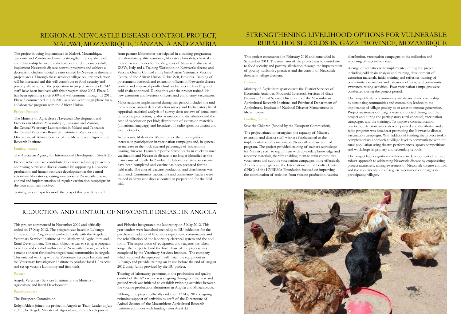The project is being implemented in Malawi, Mozambique, Tanzania and Zambia and aims to strengthen the capability of, and relationship between, stakeholders in order to successfully implement Newcastle disease control programs and achieve a decrease in chicken mortality rates caused by Newcastle disease in project areas. Through these activities village poultry production will be increased and this will contribute to food security and poverty alleviation of the population in project areas. KYEEMA staff have been involved with this program since 2002. Phase 2 has been operating since 2009 and will continue through till 2013. Phase 3 commenced in July 2012 as a one-year design phase for a collaborative program with the African Union.

#### Project Partners

The Ministry of Agriculture /Livestock Development and Fisheries in Malawi, Mozambique, Tanzania and Zambia; the Central Veterinary Laboratories in Malawi and Tanzania; the Central Veterinary Research Institute in Zambia and the Directorate of Animal Science of the Mozambican Agricultural Research Institute.

#### Funding source

The Australian Agency for International Development (AusAID)

Project activities have contributed to a more robust approach to addressing Newcastle disease control by supporting I-2 vaccine production and human resource development at the central veterinary laboratories, raising awareness of Newcastle disease control and implementation of regular vaccination campaigns in the four countries involved.

Training was a major focus of the project this year. Key staff

from partner laboratories participated in a training programme on laboratory quality assurance, laboratory biosafety, classical and molecular techniques for the diagnosis of Newcastle disease at IZSVe, Italy and a Training Workshop on Newcastle disease and Vaccine Quality Control at the Pan-African Veterinary Vaccine Centre of the African Union, Debre Zeit, Ethiopia. Training of government livestock and extension officers in Newcastle disease control and improved poultry husbandry, vaccine handling and cold chain continued. During this year the project trained 144 new extension and livestock officers, and community vaccinators.

Major activities implemented during this period included the midterm review; annual data collection survey and Participatory Rural Appraisal; statistical analysis of survey data; reviews of actual cost of vaccine production, quality assurance and distribution and the cost of vaccination per bird; distribution of extension materials (in national language) and broadcast of radio spots on district and local networks.

In Tanzania, Malawi and Mozambique there is a significant increase in participation in vaccination campaigns and, in general, an increase in the flock size and percentage of households owning chickens. Farmers reported fewer deaths in chickens since vaccination and Newcastle disease is no longer identified as the main cause of death. In Zambia the laboratory trials on vaccine have been completed and vaccine has been prepared for the field trials. The cost of vaccine production and distribution was estimated. Community vaccinators and community leaders were trained in Newcastle disease control in preparation for the field trial.

### REDUCTION AND CONTROL OF NEWCASTLE DISEASE IN ANGOLA

This project commenced in November 2009 and officially ended on 17 May 2012. The program was based in Lubango in the south of Angola and worked directly with the Angolan Veterinary Services Institute of the Ministry of Agriculture and Rural Development. The main objective was to set up a program to reduce and control outbreaks of Newcastle disease, which is a major concern for disadvantaged rural communities in Angola. This entailed working with the Veterinary Services Institute and the Veterinary Investigation Institute to produce local I-2 vaccine and set up vaccine laboratory and field trials.

#### Partner

Angola Veterinary Services Institute of the Ministry of Agriculture and Rural Development.

#### Funding source

The European Commission.

Robyn Alders joined the project in Angola as Team Leader in July 2011. The Angola Minister of Agriculture, Rural Development

and Fisheries inaugurated the laboratory on 3 May 2012. This year tenders were launched according to EU guidelines for the purchase of additional laboratory equipment, consumables and the rehabilitation of the laboratory electrical system and the cool room. The importation of equipment and reagents has taken longer than expected and the final phase of the process was completed by the Veterinary Services Institute. The company which supplied the equipment will install the equipment in Lubango and provide training on its use before the end of August 2012 using funds provided by the EU project.

Training of laboratory personnel in the production and quality control of the I-2 vaccine was ongoing throughout the year and ground work was initiated to establish twinning activities between the vaccine production laboratories in Angola and Mozambique.

Although the project officially ended on 17 May 2012, ongoing twinning support of activities by staff of the Directorate of Animal Science of the Mozambican Agricultural Research Institute continues with funding from AusAID.



### STRENGTHENING LIVELIHOOD OPTIONS FOR VULNERABLE RURAL HOUSEHOLDS IN GAZA PROVINCE, MOZAMBIQUE

This project commenced in February 2010 and concluded in September 2011. The main aim of the project was to contribute to food security and poverty alleviation through the improvement of poultry husbandry practices and the control of Newcastle disease in village chickens.

#### Partners

Ministry of Agriculture (particularly the District Services of Economic Activities, Provincial Livestock Services of Gaza Province, Animal Science Directorate of the Mozambican Agricultural Research Institute, and Provincial Department of Agriculture), Institute of National Disaster Management in Mozambique.

#### Funding Source

Save the Children (funded by the European Commission).

The project aimed to strengthen the capacity of Ministry extension and district staff who are fundamental to the implementation of a sustainable Newcastle disease control program. The project provided training of trainers workshops for Ministry staff to equip them with up-to-date knowledge and resource materials, thereby enabling them to train community vaccinators and support vaccination campaigns more effectively. At a more strategic level the International Rural Poultry Centre (IPRC) of the KYEEMA Foundation focused on improving the coordination of activities from vaccine production, vaccine

distribution, vaccination campaigns to the collection and reporting of vaccination data.

A range of activities were implemented during the project including cold chain analysis and training, development of extension materials, initial training and refresher training of community vaccinators and extension officers, and community awareness raising activities. Four vaccination campaigns were conducted during the project period.

The project fostered community involvement and ownership by sensitising communities and community leaders to the importance of village poultry as an asset to income generation. Project awareness campaigns were conducted throughout the project and during the participatory rural appraisal, vaccination campaigns, and the trainings. To improve communication practices, extension materials were printed and distributed and a radio program was broadcast promoting the Newcastle disease vaccination campaigns. With additional funding the project took a complementary approach at village level to communicate with the rural population using theatre performances, sports competitions and workshops in primary and secondary schools.

The project had a significant influence in development of a more robust approach to addressing Newcastle disease by emphasising project awareness, raising awareness of Newcastle disease control, and the implementation of regular vaccination campaigns in participating villages.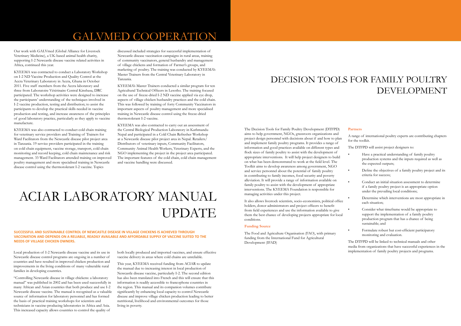### GALVMED COOPERATION

Our work with GALVmed (Global Alliance for Livestock Veterinary Medicine), a UK-based animal health charity, supporting I-2 Newcastle disease vaccine related activities in Africa, continued this year.

KYEEMA was contracted to conduct a Laboratory Workshop on I-2 ND Vaccine Production and Quality Control at the Accra Veterinary Laboratory in Accra, Ghana in October 2011. Five staff members from the Accra laboratory and three from Laboratoire Vétérinaire Central Kinshasa, DRC participated. The workshop activities were designed to increase the participants' understanding of the techniques involved in I-2 vaccine production, testing and distribution; to assist the participants to develop the practical skills needed in vaccine production and testing, and increase awareness of the principles of good laboratory practice, particularly as they apply to vaccine manufacture.

KYEEMA was also contracted to conduct cold chain training for veterinary service providers and Training of Trainers for Ward Facilitators from the Newcastle disease pilot project area in Tanzania. 19 service providers participated in the training on cold chain equipment, vaccine storage, transport, cold chain monitoring and record keeping, cold chain maintenance and risk management. 33 Ward Facilitators attended training on improved poultry management and more specialised training in Newcastle disease control using the thermotolerant I-2 vaccine. Topics

discussed included strategies for successful implementation of Newcastle disease vaccination campaigns in rural areas, training of community vaccinators, general husbandry and management of village chickens and formation of Farmer's groups, and marketing of poultry. The training was conducted by KYEEMA's Master Trainers from the Central Veterinary Laboratory in Tanzania.

KYEEMA's Master Trainers conducted a similar program for ten Agricultural Technical Officers in Lesotho. The training focused on the use of freeze-dried I-2 ND vaccine applied via eye drop, aspects of village chicken husbandry practices and the cold chain. This was followed by training of forty Community Vaccinators in important aspects of poultry management and more specialised training in Newcastle disease control using the freeze-dried thermotolerant I-2 vaccine.

KYEEMA was also contracted to carry out an assessment of the Central Biological Production Laboratory in Kathmandu Nepal and participated in a Cold Chain Refresher Workshop at a Newcastle disease pilot project area in Nepal. Retailers/ Distributors of veterinary inputs, Community Facilitators, Community Animal Health Workers, Veterinary Experts, and the NGO implementing the project in the project area participated. The important features of the cold chain, cold chain management and vaccine handling were discussed.

The Decision Tools for Family Poultry Development (DTFPD) aims to help government, NGOs, grassroots organizations and project design personnel with decisions about if and how to plan and implement family poultry programs. It provides a range of information and good practices available on different types and flock sizes of family poultry to assist with the development of appropriate interventions. It will help project designers to build on what has been demonstrated to work at the field level. The Toolkit aims to develop awareness among government, NGO and service personnel about the potential of family poultry in contributing to family incomes, food security and poverty alleviation. It will provide a range of information available on family poultry to assist with the development of appropriate interventions. The KYEEMA Foundation is responsible for managing activities under this project.

It also allows livestock scientists, socio-economists, political office holders, donor administrators and project officers to benefit from field experiences and use the information available to give them the best chance of developing projects appropriate for local conditions.

#### **Funding Source**

The Food and Agriculture Organisation (FAO), with primary funding from the International Fund for Agricultural Development (IFAD)

#### **Partners**

A range of international poultry experts are contributing chapters for the toolkit.

The DTFPD will assist project designers to:

| Have a practical understanding of family poultry<br>production systems and the inputs required as well as<br>the expected outputs;                                     |
|------------------------------------------------------------------------------------------------------------------------------------------------------------------------|
| Define the objectives of a family poultry project and its<br>criteria for success;                                                                                     |
| Conduct an initial situation assessment to determine<br>if a family poultry project is an appropriate option<br>under the prevailing local conditions;                 |
| Determine which interventions are most appropriate in<br>each situation;                                                                                               |
| Consider what timeframe would be appropriate to<br>support the implementation of a family poultry<br>production program that has a chance of being<br>sustainable; and |
| Formulate robust but cost-efficient participatory<br>monitoring and evaluation.                                                                                        |

The DTFPD will be linked to technical manuals and other media from organizations that have successful experiences in the implementation of family poultry projects and programs.

### DECISION TOOLS FOR FAMILY POULTRY DEVELOPMENT

# ACIAR LABORATORY MANUAL UPDATE

#### **SUCCESSFUL AND SUSTAINABLE CONTROL OF NEWCASTLE DISEASE IN VILLAGE CHICKENS IS ACHIEVED THROUGH VACCINATION AND DEPENDS ON A RELIABLE, READILY AVAILABLE AND AFFORDABLE SUPPLY OF VACCINE SUITED TO THE NEEDS OF VILLAGE CHICKEN OWNERS.**

Local production of I-2 Newcastle disease vaccine and its use in Newcastle disease control programs are ongoing in a number of countries and have resulted in improved chicken production and improvements in the living conditions of many vulnerable rural families in developing countries.

"Controlling Newcastle disease in village chickens: a laboratory manual" was published in 2002 and has been used successfully in many African and Asian countries that both produce and use I-2 Newcastle disease vaccine. The manual is recognised as a valuable source of information for laboratory personnel and has formed the basis of practical training workshops for scientists and technicians in vaccine-producing laboratories in Africa and Asia. This increased capacity allows countries to control the quality of

both locally produced and imported vaccines, and ensure effective vaccine delivery in areas where cold chains are unreliable.

This year, KYEEMA received funding from ACIAR to update the manual due to increasing interest in local production of Newcastle disease vaccine, particularly I-2. The second edition has also been translated into French and this will ensure that this information is readily accessible to francophone countries in the region. This manual and its companion volumes contribute significantly by enhancing local capacity to control Newcastle disease and improve village chicken production leading to better nutritional, livelihood and environmental outcomes for those living in poverty.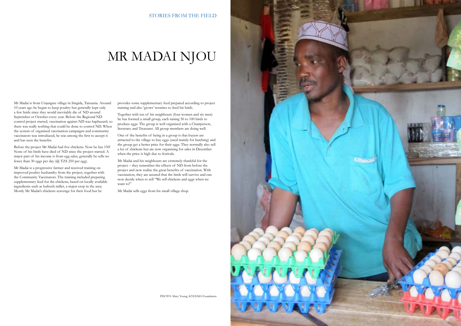### STORIES FROM THE FIELD

# MR MADAI NJOU

Mr Madai is from Unjangwe village in Singida, Tanzania. Around 10 years ago he began to keep poultry but generally kept only a few birds since they would inevitably die of ND around September or October every year. Before the Regional ND control project started, vaccination against ND was haphazard, so there was really nothing that could be done to control ND. When the system of organised vaccination campaigns and community vaccinators was introduced, he was among the first to accept it and has seen the benefits.

Before the project Mr Madai had five chickens. Now he has 150! None of his birds have died of ND since the project started. A major part of his income is from egg sales; generally he sells no fewer than 30 eggs per day (@ TZS 250 per egg).

Mr Madai and his neighbours are extremely thankful for the project – they remember the effects of ND from before the project and now realise the great benefits of vaccination. With vaccination, they are assured that the birds will survive and can now decide when to sell "We sell chickens and eggs when we want to!"

Mr Madai is a progressive farmer and received training on improved poultry husbandry from the project, together with the Community Vaccinators. The training included preparing supplementary feed for the chickens, based on locally available ingredients such as bulrush millet, a major crop in the area. Mostly Mr Madai's chickens scavenge for their food but he

provides some supplementary feed prepared according to project training and also 'grows' termites to feed his birds.

Together with ten of his neighbours (four women and six men) he has formed a small group, each raising 50 to 100 birds to produce eggs. The group is well organised with a Chairperson, Secretary and Treasurer. All group members are doing well.

One of the benefits of being in a group is that buyers are attracted to the village to buy eggs (used mainly for hatching) and the group get a better price for their eggs. They normally also sell a lot of chickens but are now organising for sales in December when the price is high due to festivals.

Mr Madai sells eggs from his small village shop.



PHOTO: Mary Young, KYEEMA Foundation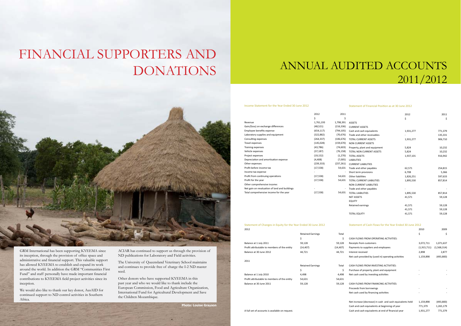# FINANCIAL SUPPORTERS AND DONATIONS



GRM International has been supporting KYEEMA since its inception, through the provision of office space and administrative and financial support. This valuable support has allowed KYEEMA to establish and expand its work around the world. In addition the GRM "Communities First Fund" and staff personally have made important financial contributions to KYEEMA field project activities since its inception.

We would also like to thank our key donor, AusAID for continued support to ND control activities in Southern Africa.

ACIAR has continued to support us through the provision of ND publications for Laboratory and Field activities.

The University of Queensland Veterinary School maintains and continues to provide free of charge the I-2 ND master seed.

Other donors who have supported KYEEMA in this past year and who we would like to thank include the European Commission, Food and Agriculture Organization, International Fund for Agricultural Development and Save the Children Mozambique.

# ANNUAL AUDITED ACCOUNTS 2011/2012

Income Statement for the Year Ended 30 June 2012

|                                               | 2012       | 2011                     |                                  | 2012      | 2011    |
|-----------------------------------------------|------------|--------------------------|----------------------------------|-----------|---------|
|                                               | \$         | \$                       |                                  | \$        | Ś       |
| Revenue                                       | 1,761,193  | 1,798,391                | <b>ASSETS</b>                    |           |         |
| Gain/(loss) on exchange differences           | (48, 521)  | (216, 336)               | <b>CURRENT ASSETS</b>            |           |         |
| Employee benefits expense                     | (654, 117) | (794, 105)               | Cash and cash equivalents        | 1,931,277 | 771,379 |
| Laboratory supplies and equipment             | (322, 882) | (70, 676)                | Trade and other receivables      |           | 135,331 |
| Consulting expenses                           | (264, 337) | (106, 676)               | <b>TOTAL CURRENT ASSETS</b>      | 1,931,277 | 906,710 |
| Travel expenses                               | (145, 028) | (159, 670)               | <b>NON CURRENT ASSETS</b>        |           |         |
| <b>Training expenses</b>                      | (43, 786)  | (74, 603)                | Property, plant and equipment    | 5,824     | 10,232  |
| Vehicle expenses                              | (37, 187)  | (76, 158)                | <b>TOTAL NON CURRENT ASSETS</b>  | 5,824     | 10,232  |
| Project expenses                              | (19, 152)  | (1, 270)                 | <b>TOTAL ASSETS</b>              | 1,937,101 | 916,942 |
| Depreciation and amortisation expense         | (4, 408)   | (7,005)                  | <b>LIABILITIES</b>               |           |         |
| Other expenses                                | (239, 333) | (237, 261)               | <b>CURRENT LIABILITIES</b>       |           |         |
| Profit before income tax                      | (17, 558)  | 54,631                   | Trade and other payables         | 62,571    | 254,815 |
| Income tax expense                            |            |                          | Short term provisions            | 6,708     | 5,366   |
| Profit from continuing operations             | (17, 558)  | 54,631                   | Other liabilities                | 1,826,251 | 597,633 |
| Profit for the year                           | (17, 558)  | 54,631                   | <b>TOTAL CURRENT LIABILITIES</b> | 1,895,530 | 857,814 |
| Other comprehensive income:                   |            |                          | <b>NON CURRENT LIABILITIES</b>   |           |         |
| Net gain on revaluation of land and buildings |            | $\overline{\phantom{a}}$ | Trade and other payables         |           |         |
| Total comprehensive income for the year       | (17, 558)  | 54,631                   | <b>TOTAL LIABILITIES</b>         | 1,895,530 | 857,814 |
|                                               |            |                          | <b>NET ASSETS</b>                | 41,571    | 59,128  |
|                                               |            |                          | <b>EQUITY</b>                    |           |         |
|                                               |            |                          | Retained earnings                | 41,571    | 59,128  |
|                                               |            |                          |                                  | 41,571    | 59,128  |
|                                               |            |                          | <b>TOTAL EQUITY</b>              | 41,571    | 59,128  |
|                                               |            |                          |                                  |           |         |

#### Statement of Financial Position as at 30 June 2012

Statement of Changes in Equity for the Year Ended 30 June 2012

#### Statement of Cash Flows for the Year Ended 30 June 2012

| 2012                                            |                          |           |                                                           | 2010          | 2009        |
|-------------------------------------------------|--------------------------|-----------|-----------------------------------------------------------|---------------|-------------|
|                                                 | <b>Retained Earnings</b> | Total     |                                                           | \$            | \$          |
|                                                 | \$                       | \$        | CASH FLOWS FROM OPERATING ACTIVITIES:                     |               |             |
| Balance at 1 July 2011                          | 59,128                   | 59,128    | Receipts from customers                                   | 3,072,711     | 1,071,637   |
| Profit attributable to members of the entity    | (14, 407)                | (14, 407) | Payments to suppliers and employees                       | (1, 915, 711) | (1,568,314) |
| Balance at 30 June 2012                         | 44,721                   | 44,721    | Interest received                                         | 2,898         | 2,877       |
|                                                 |                          |           | Net cash provided by (used in) operating activities       | 1,159,898     | (493, 800)  |
| 2011                                            |                          |           |                                                           |               |             |
|                                                 | <b>Retained Earnings</b> | Total     | CASH FLOWS FROM INVESTING ACTIVITIES:                     |               |             |
|                                                 | \$                       | \$        | Purchase of property, plant and equipment                 |               |             |
| Balance at 1 July 2010                          | 4,498                    | 4,498     | Net cash used by investing activities                     |               |             |
| Profit attributable to members of the entity    | 54,631                   | 54,631    |                                                           |               |             |
| Balance at 30 June 2011                         | 59,128                   | 59,128    | CASH FLOWS FROM FINANCING ACTIVITIES:                     |               |             |
|                                                 |                          |           | Proceeds from borrowings                                  |               |             |
|                                                 |                          |           | Net cash used by financing activities                     |               |             |
|                                                 |                          |           | Net increase (decrease) in cash and cash equivalents held | 1,159,898     | (493, 800)  |
|                                                 |                          |           | Cash and cash equivalents at beginning of year            | 771,379       | 1,265,179   |
| A full set of accounts is available on request. |                          |           | Cash and cash equivalents at end of financial year        | 1,931,277     | 771,379     |
|                                                 |                          |           |                                                           |               |             |

**Photo: Louise Grayson**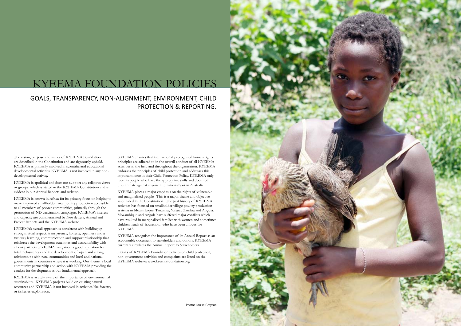### KYEEMA FOUNDATION POLICIES

### GOALS, TRANSPARENCY, NON-ALIGNMENT, ENVIRONMENT, CHILD PROTECTION & REPORTING.

The vision, purpose and values of KYEEMA Foundation are described in the Constitution and are rigorously upheld. KYEEMA is primarily involved in scientific and educational developmental activities. KYEEMA is not involved in any nondevelopmental activity.

KYEEMA is apolitical and does not support any religious views or groups, which is stated in the KYEEMA Constitution and is evident in our Annual Reports and website.

KYEEMA is known in Africa for its primary focus on helping to make improved smallholder rural poultry production accessible to all members of poorer communities, primarily through the promotion of ND vaccination campaigns. KYEEMA's interest and capacity are communicated by Newsletters, Annual and Project Reports and the KYEEMA website.

KYEEMA's overall approach is consistent with building up strong mutual respect, transparency, honesty, openness and a two way learning, communication and support relationship that reinforces the development outcomes and accountability with all our partners. KYEEMA has gained a good reputation for total inclusiveness and the development of open and strong relationships with rural communities and local and national governments in countries where it is working. Our theme is local community partnership and action with KYEEMA providing the catalyst for development as our fundamental approach.

KYEEMA is acutely aware of the importance of environmental sustainability. KYEEMA projects build on existing natural resources and KYEEMA is not involved in activities like forestry or fisheries exploitation.

KYEEMA ensures that internationally recognised human rights principles are adhered to in the overall conduct of all KYEEMA activities in the field and throughout the organisation. KYEEMA endorses the principles of child protection and addresses this important issue in their Child Protection Policy. KYEEMA only recruits people who have the appropriate skills and does not discriminate against anyone internationally or in Australia.

KYEEMA places a major emphasis on the rights of vulnerable and marginalised people. This is a major theme and objective as outlined in the Constitution. The past history of KYEEMA activities has focused on smallholder village poultry production systems in Mozambique, Tanzania, Malawi, Zambia and Angola. Mozambique and Angola have suffered major conflicts which have resulted in marginalised families with women and sometimes children heads of household who have been a focus for KYEEMA.

KYEEMA recognises the importance of its Annual Report as an accountable document to stakeholders and donors. KYEEMA currently circulates the Annual Report to Stakeholders.

Details of KYEEMA Foundation policies on child protection, non-government activities and complaints are listed on the KYEEMA website: www.kyeemafoundation.org



Photo: Louise Grayson